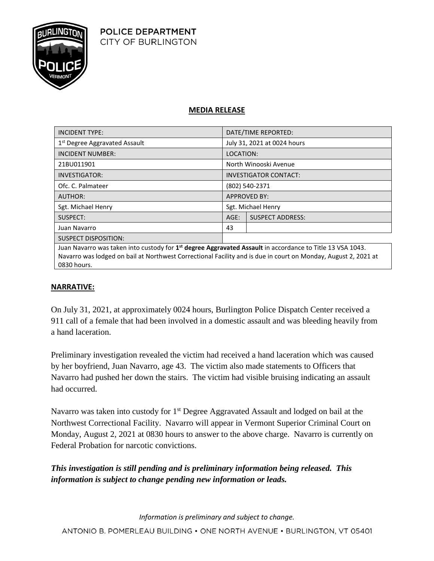

## **MEDIA RELEASE**

| <b>INCIDENT TYPE:</b>                                           | DATE/TIME REPORTED:          |                         |
|-----------------------------------------------------------------|------------------------------|-------------------------|
| 1 <sup>st</sup> Degree Aggravated Assault                       | July 31, 2021 at 0024 hours  |                         |
| <b>INCIDENT NUMBER:</b>                                         | LOCATION:                    |                         |
| 21BU011901                                                      | North Winooski Avenue        |                         |
| <b>INVESTIGATOR:</b>                                            | <b>INVESTIGATOR CONTACT:</b> |                         |
| Ofc. C. Palmateer                                               | (802) 540-2371               |                         |
| AUTHOR:                                                         | <b>APPROVED BY:</b>          |                         |
| Sgt. Michael Henry                                              | Sgt. Michael Henry           |                         |
| SUSPECT:                                                        | $AGE$ :                      | <b>SUSPECT ADDRESS:</b> |
| Juan Navarro                                                    | 43                           |                         |
| <b>SUSPECT DISPOSITION:</b>                                     |                              |                         |
| $\mathbf{r}$ , and the contract of the contract of $\mathbf{r}$ |                              |                         |

Juan Navarro was taken into custody for **1 st degree Aggravated Assault** in accordance to Title 13 VSA 1043. Navarro was lodged on bail at Northwest Correctional Facility and is due in court on Monday, August 2, 2021 at 0830 hours.

## **NARRATIVE:**

On July 31, 2021, at approximately 0024 hours, Burlington Police Dispatch Center received a 911 call of a female that had been involved in a domestic assault and was bleeding heavily from a hand laceration.

Preliminary investigation revealed the victim had received a hand laceration which was caused by her boyfriend, Juan Navarro, age 43. The victim also made statements to Officers that Navarro had pushed her down the stairs. The victim had visible bruising indicating an assault had occurred.

Navarro was taken into custody for 1<sup>st</sup> Degree Aggravated Assault and lodged on bail at the Northwest Correctional Facility. Navarro will appear in Vermont Superior Criminal Court on Monday, August 2, 2021 at 0830 hours to answer to the above charge. Navarro is currently on Federal Probation for narcotic convictions.

## *This investigation is still pending and is preliminary information being released. This information is subject to change pending new information or leads.*